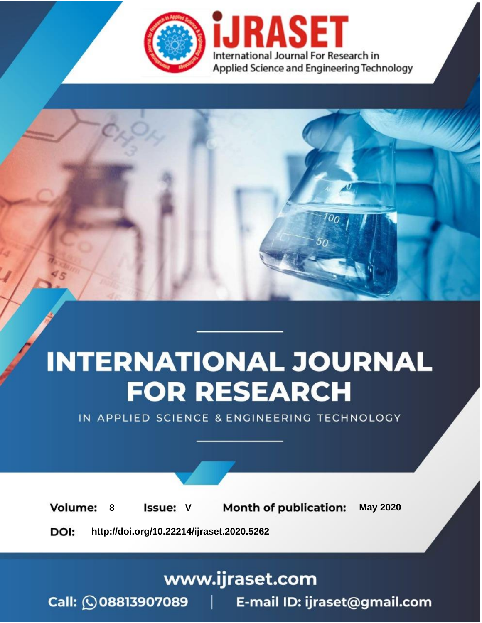

# **INTERNATIONAL JOURNAL FOR RESEARCH**

IN APPLIED SCIENCE & ENGINEERING TECHNOLOGY

8 **Issue: V Month of publication:** May 2020 **Volume:** 

**http://doi.org/10.22214/ijraset.2020.5262**DOI:

### www.ijraset.com

Call: 008813907089 | E-mail ID: ijraset@gmail.com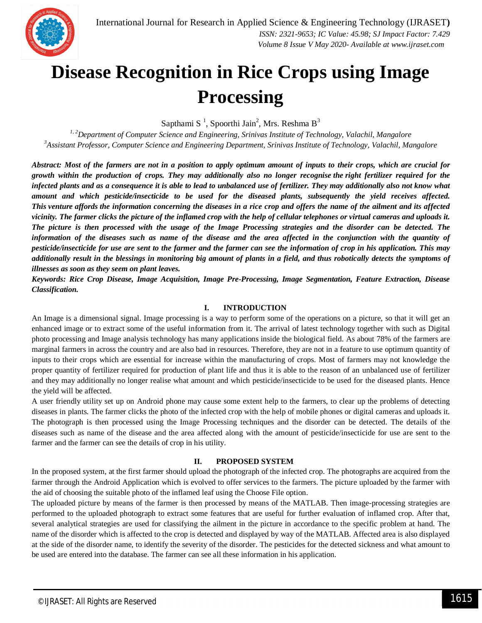

### **Disease Recognition in Rice Crops using Image Processing**

Sapthami S<sup>1</sup>, Spoorthi Jain<sup>2</sup>, Mrs. Reshma B<sup>3</sup>

*1, 2Department of Computer Science and Engineering, Srinivas Institute of Technology, Valachil, Mangalore <sup>3</sup>Assistant Professor, Computer Science and Engineering Department, Srinivas Institute of Technology, Valachil, Mangalore*

*Abstract: Most of the farmers are not in a position to apply optimum amount of inputs to their crops, which are crucial for growth within the production of crops. They may additionally also no longer recognise the right fertilizer required for the infected plants and as a consequence it is able to lead to unbalanced use of fertilizer. They may additionally also not know what amount and which pesticide/insecticide to be used for the diseased plants, subsequently the yield receives affected. This venture affords the information concerning the diseases in a rice crop and offers the name of the ailment and its affected vicinity. The farmer clicks the picture of the inflamed crop with the help of cellular telephones or virtual cameras and uploads it. The picture is then processed with the usage of the Image Processing strategies and the disorder can be detected. The*  information of the diseases such as name of the disease and the area affected in the conjunction with the quantity of *pesticide/insecticide for use are sent to the farmer and the farmer can see the information of crop in his application. This may additionally result in the blessings in monitoring big amount of plants in a field, and thus robotically detects the symptoms of illnesses as soon as they seem on plant leaves.*

*Keywords: Rice Crop Disease, Image Acquisition, Image Pre-Processing, Image Segmentation, Feature Extraction, Disease Classification.*

#### **I. INTRODUCTION**

An Image is a dimensional signal. Image processing is a way to perform some of the operations on a picture, so that it will get an enhanced image or to extract some of the useful information from it. The arrival of latest technology together with such as Digital photo processing and Image analysis technology has many applications inside the biological field. As about 78% of the farmers are marginal farmers in across the country and are also bad in resources. Therefore, they are not in a feature to use optimum quantity of inputs to their crops which are essential for increase within the manufacturing of crops. Most of farmers may not knowledge the proper quantity of fertilizer required for production of plant life and thus it is able to the reason of an unbalanced use of fertilizer and they may additionally no longer realise what amount and which pesticide/insecticide to be used for the diseased plants. Hence the yield will be affected.

A user friendly utility set up on Android phone may cause some extent help to the farmers, to clear up the problems of detecting diseases in plants. The farmer clicks the photo of the infected crop with the help of mobile phones or digital cameras and uploads it. The photograph is then processed using the Image Processing techniques and the disorder can be detected. The details of the diseases such as name of the disease and the area affected along with the amount of pesticide/insecticide for use are sent to the farmer and the farmer can see the details of crop in his utility.

#### **II. PROPOSED SYSTEM**

In the proposed system, at the first farmer should upload the photograph of the infected crop. The photographs are acquired from the farmer through the Android Application which is evolved to offer services to the farmers. The picture uploaded by the farmer with the aid of choosing the suitable photo of the inflamed leaf using the Choose File option.

The uploaded picture by means of the farmer is then processed by means of the MATLAB. Then image-processing strategies are performed to the uploaded photograph to extract some features that are useful for further evaluation of inflamed crop. After that, several analytical strategies are used for classifying the ailment in the picture in accordance to the specific problem at hand. The name of the disorder which is affected to the crop is detected and displayed by way of the MATLAB. Affected area is also displayed at the side of the disorder name, to identify the severity of the disorder. The pesticides for the detected sickness and what amount to be used are entered into the database. The farmer can see all these information in his application.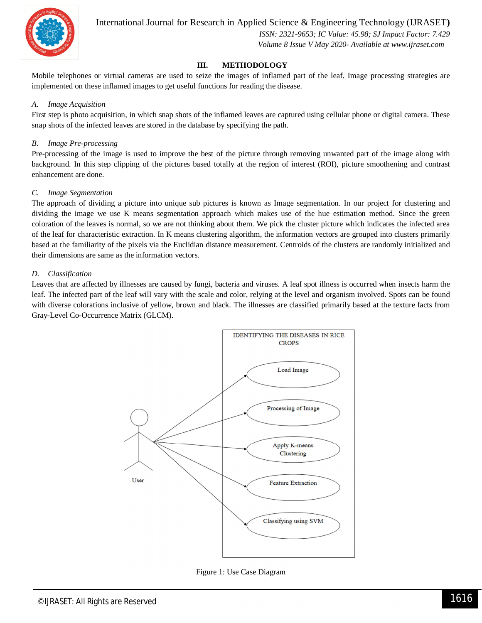

 *ISSN: 2321-9653; IC Value: 45.98; SJ Impact Factor: 7.429 Volume 8 Issue V May 2020- Available at www.ijraset.com*

#### **III. METHODOLOGY**

Mobile telephones or virtual cameras are used to seize the images of inflamed part of the leaf. Image processing strategies are implemented on these inflamed images to get useful functions for reading the disease.

#### *A. Image Acquisition*

First step is photo acquisition, in which snap shots of the inflamed leaves are captured using cellular phone or digital camera. These snap shots of the infected leaves are stored in the database by specifying the path.

#### *B. Image Pre-processing*

Pre-processing of the image is used to improve the best of the picture through removing unwanted part of the image along with background. In this step clipping of the pictures based totally at the region of interest (ROI), picture smoothening and contrast enhancement are done.

#### *C. Image Segmentation*

The approach of dividing a picture into unique sub pictures is known as Image segmentation. In our project for clustering and dividing the image we use K means segmentation approach which makes use of the hue estimation method. Since the green coloration of the leaves is normal, so we are not thinking about them. We pick the cluster picture which indicates the infected area of the leaf for characteristic extraction. In K means clustering algorithm, the information vectors are grouped into clusters primarily based at the familiarity of the pixels via the Euclidian distance measurement. Centroids of the clusters are randomly initialized and their dimensions are same as the information vectors.

#### *D. Classification*

Leaves that are affected by illnesses are caused by fungi, bacteria and viruses. A leaf spot illness is occurred when insects harm the leaf. The infected part of the leaf will vary with the scale and color, relying at the level and organism involved. Spots can be found with diverse colorations inclusive of yellow, brown and black. The illnesses are classified primarily based at the texture facts from Gray-Level Co-Occurrence Matrix (GLCM).



Figure 1: Use Case Diagram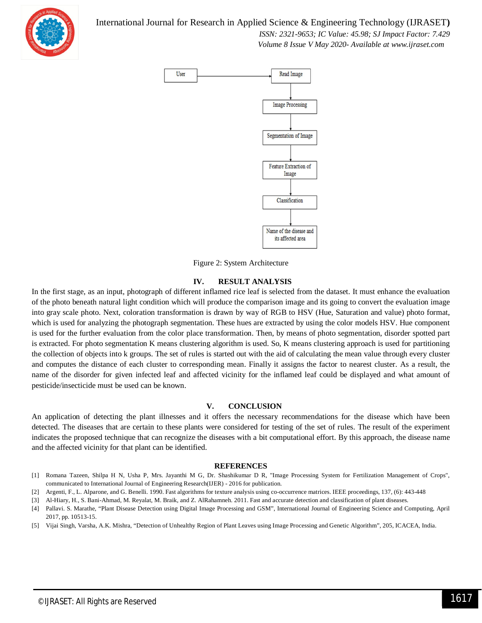

#### International Journal for Research in Applied Science & Engineering Technology (IJRASET**)**

 *ISSN: 2321-9653; IC Value: 45.98; SJ Impact Factor: 7.429 Volume 8 Issue V May 2020- Available at www.ijraset.com*



Figure 2: System Architecture

#### **IV. RESULT ANALYSIS**

In the first stage, as an input, photograph of different inflamed rice leaf is selected from the dataset. It must enhance the evaluation of the photo beneath natural light condition which will produce the comparison image and its going to convert the evaluation image into gray scale photo. Next, coloration transformation is drawn by way of RGB to HSV (Hue, Saturation and value) photo format, which is used for analyzing the photograph segmentation. These hues are extracted by using the color models HSV. Hue component is used for the further evaluation from the color place transformation. Then, by means of photo segmentation, disorder spotted part is extracted. For photo segmentation K means clustering algorithm is used. So, K means clustering approach is used for partitioning the collection of objects into k groups. The set of rules is started out with the aid of calculating the mean value through every cluster and computes the distance of each cluster to corresponding mean. Finally it assigns the factor to nearest cluster. As a result, the name of the disorder for given infected leaf and affected vicinity for the inflamed leaf could be displayed and what amount of pesticide/insecticide must be used can be known.

#### **V. CONCLUSION**

An application of detecting the plant illnesses and it offers the necessary recommendations for the disease which have been detected. The diseases that are certain to these plants were considered for testing of the set of rules. The result of the experiment indicates the proposed technique that can recognize the diseases with a bit computational effort. By this approach, the disease name and the affected vicinity for that plant can be identified.

#### **REFERENCES**

- [1] Romana Tazeen, Shilpa H N, Usha P, Mrs. Jayanthi M G, Dr. Shashikumar D R, "Image Processing System for Fertilization Management of Crops", communicated to International Journal of Engineering Research(IJER) - 2016 for publication.
- [2] Argenti, F., L. Alparone, and G. Benelli. 1990. Fast algorithms for texture analysis using co-occurrence matrices. IEEE proceedings, 137, (6): 443-448
- [3] Al-Hiary, H., S. Bani-Ahmad, M. Reyalat, M. Braik, and Z. AlRahamneh. 2011. Fast and accurate detection and classification of plant diseases.
- [4] Pallavi. S. Marathe, "Plant Disease Detection using Digital Image Processing and GSM", International Journal of Engineering Science and Computing, April 2017, pp. 10513-15.
- [5] Vijai Singh, Varsha, A.K. Mishra, "Detection of Unhealthy Region of Plant Leaves using Image Processing and Genetic Algorithm", 205, ICACEA, India.